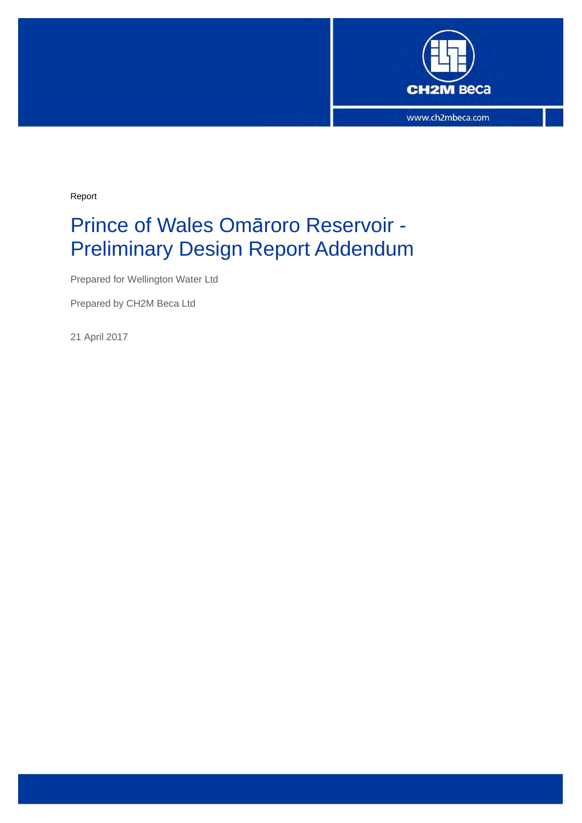

Report

# Prince of Wales Omāroro Reservoir - Preliminary Design Report Addendum

Prepared for Wellington Water Ltd

Prepared by CH2M Beca Ltd

21 April 2017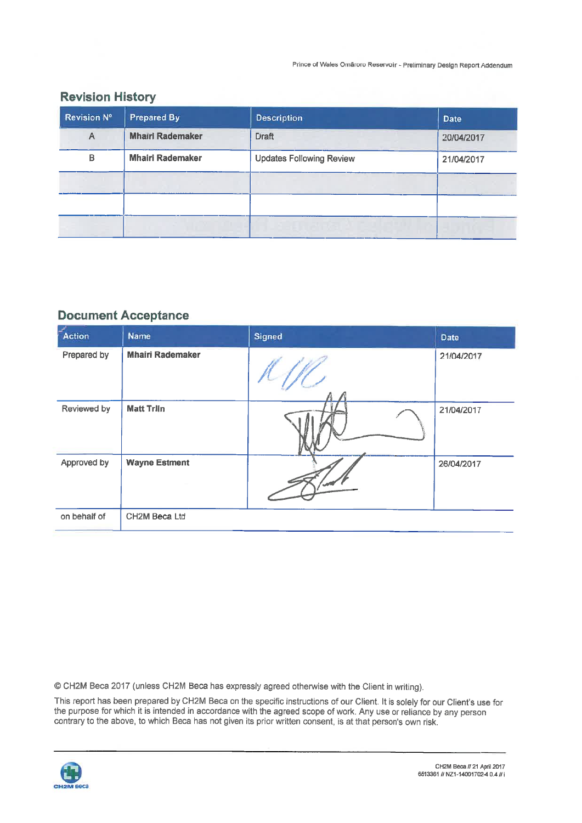Prince of Wales Omäroro Reservoir - Preliminary Design Report Addendum

## **Revision History**

| <b>Revision N°</b> | <b>Prepared By</b>      | <b>Description</b>              | <b>Date</b> |
|--------------------|-------------------------|---------------------------------|-------------|
| A                  | <b>Mhairi Rademaker</b> | <b>Draft</b>                    | 20/04/2017  |
| В                  | <b>Mhairi Rademaker</b> | <b>Updates Following Review</b> | 21/04/2017  |
|                    |                         |                                 |             |
|                    |                         |                                 |             |
|                    |                         |                                 |             |

### **Document Acceptance**

| Action       | Name                    | <b>Signed</b> | Date       |
|--------------|-------------------------|---------------|------------|
| Prepared by  | <b>Mhairi Rademaker</b> |               | 21/04/2017 |
| Reviewed by  | <b>Matt Trlin</b>       |               | 21/04/2017 |
| Approved by  | <b>Wayne Estment</b>    |               | 26/04/2017 |
| on behalf of | CH2M Beca Ltd           |               |            |

© CH2M Beca 2017 (unless CH2M Beca has expressly agreed otherwise with the Client in writing).

This report has been prepared by CH2M Beca on the specific instructions of our Client. It is solely for our Client's use for the purpose for which it is intended in accordance with the agreed scope of work. Any use or reliance by any person contrary to the above, to which Beca has not given its prior written consent, is at that person's own risk.

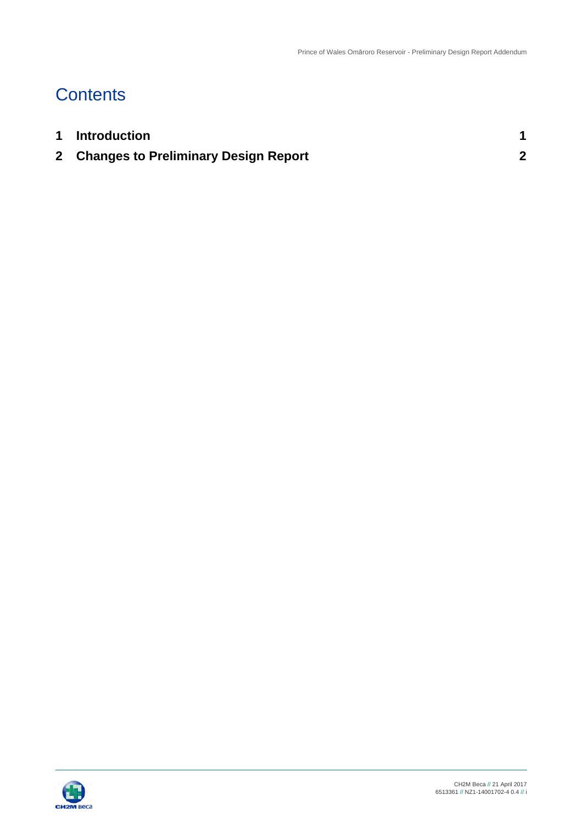## **Contents**

| 1 Introduction                         |  |
|----------------------------------------|--|
| 2 Changes to Preliminary Design Report |  |

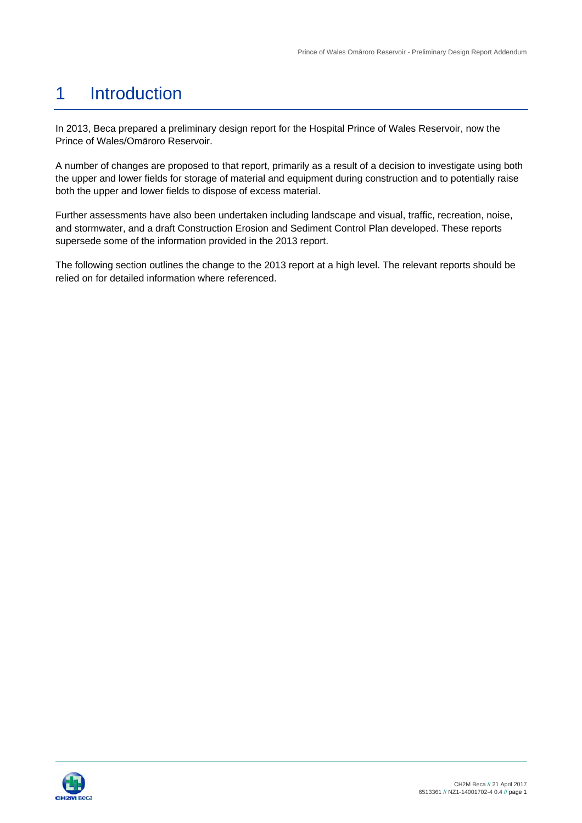### 1 Introduction

In 2013, Beca prepared a preliminary design report for the Hospital Prince of Wales Reservoir, now the Prince of Wales/Omāroro Reservoir.

A number of changes are proposed to that report, primarily as a result of a decision to investigate using both the upper and lower fields for storage of material and equipment during construction and to potentially raise both the upper and lower fields to dispose of excess material.

Further assessments have also been undertaken including landscape and visual, traffic, recreation, noise, and stormwater, and a draft Construction Erosion and Sediment Control Plan developed. These reports supersede some of the information provided in the 2013 report.

The following section outlines the change to the 2013 report at a high level. The relevant reports should be relied on for detailed information where referenced.

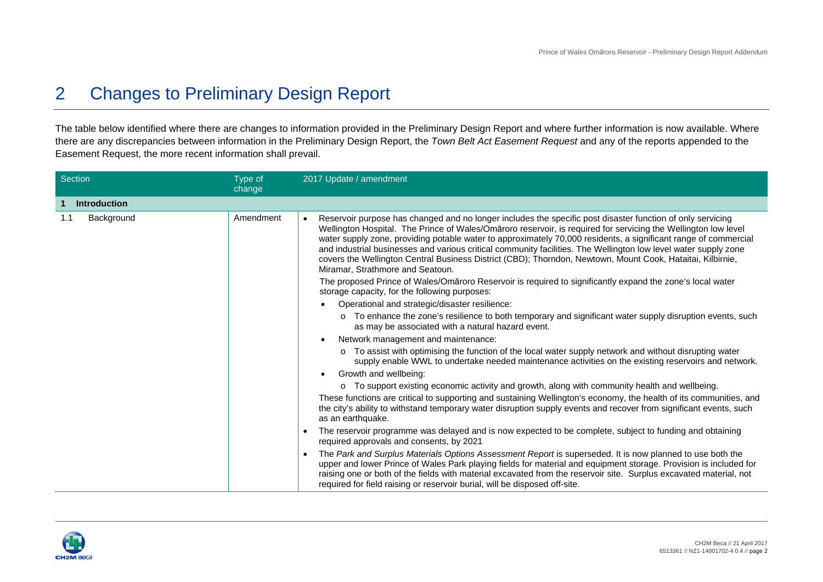#### 2 Changes to Preliminary Design Report

The table below identified where there are changes to information provided in the Preliminary Design Report and where further information is now available. Where there are any discrepancies between information in the Preliminary Design Report, the *Town Belt Act Easement Request* and any of the reports appended to the Easement Request, the more recent information shall prevail.

| Section                  | Type of<br>change | 2017 Update / amendment                                                                                                                                                                                                                                                                                                                                                                                                                                                                                                                                                                                              |
|--------------------------|-------------------|----------------------------------------------------------------------------------------------------------------------------------------------------------------------------------------------------------------------------------------------------------------------------------------------------------------------------------------------------------------------------------------------------------------------------------------------------------------------------------------------------------------------------------------------------------------------------------------------------------------------|
| <b>Introduction</b><br>1 |                   |                                                                                                                                                                                                                                                                                                                                                                                                                                                                                                                                                                                                                      |
| 1.1<br>Background        | Amendment         | Reservoir purpose has changed and no longer includes the specific post disaster function of only servicing<br>Wellington Hospital. The Prince of Wales/Omaroro reservoir, is required for servicing the Wellington low level<br>water supply zone, providing potable water to approximately 70,000 residents, a significant range of commercial<br>and industrial businesses and various critical community facilities. The Wellington low level water supply zone<br>covers the Wellington Central Business District (CBD); Thorndon, Newtown, Mount Cook, Hataitai, Kilbirnie,<br>Miramar, Strathmore and Seatoun. |
|                          |                   | The proposed Prince of Wales/Omaroro Reservoir is required to significantly expand the zone's local water<br>storage capacity, for the following purposes:                                                                                                                                                                                                                                                                                                                                                                                                                                                           |
|                          |                   | Operational and strategic/disaster resilience:                                                                                                                                                                                                                                                                                                                                                                                                                                                                                                                                                                       |
|                          |                   | o To enhance the zone's resilience to both temporary and significant water supply disruption events, such<br>as may be associated with a natural hazard event.                                                                                                                                                                                                                                                                                                                                                                                                                                                       |
|                          |                   | Network management and maintenance:                                                                                                                                                                                                                                                                                                                                                                                                                                                                                                                                                                                  |
|                          |                   | o To assist with optimising the function of the local water supply network and without disrupting water<br>supply enable WWL to undertake needed maintenance activities on the existing reservoirs and network.                                                                                                                                                                                                                                                                                                                                                                                                      |
|                          |                   | Growth and wellbeing:                                                                                                                                                                                                                                                                                                                                                                                                                                                                                                                                                                                                |
|                          |                   | o To support existing economic activity and growth, along with community health and wellbeing.                                                                                                                                                                                                                                                                                                                                                                                                                                                                                                                       |
|                          |                   | These functions are critical to supporting and sustaining Wellington's economy, the health of its communities, and<br>the city's ability to withstand temporary water disruption supply events and recover from significant events, such<br>as an earthquake.                                                                                                                                                                                                                                                                                                                                                        |
|                          |                   | The reservoir programme was delayed and is now expected to be complete, subject to funding and obtaining<br>$\bullet$<br>required approvals and consents, by 2021                                                                                                                                                                                                                                                                                                                                                                                                                                                    |
|                          |                   | The Park and Surplus Materials Options Assessment Report is superseded. It is now planned to use both the<br>$\bullet$<br>upper and lower Prince of Wales Park playing fields for material and equipment storage. Provision is included for<br>raising one or both of the fields with material excavated from the reservoir site. Surplus excavated material, not<br>required for field raising or reservoir burial, will be disposed off-site.                                                                                                                                                                      |

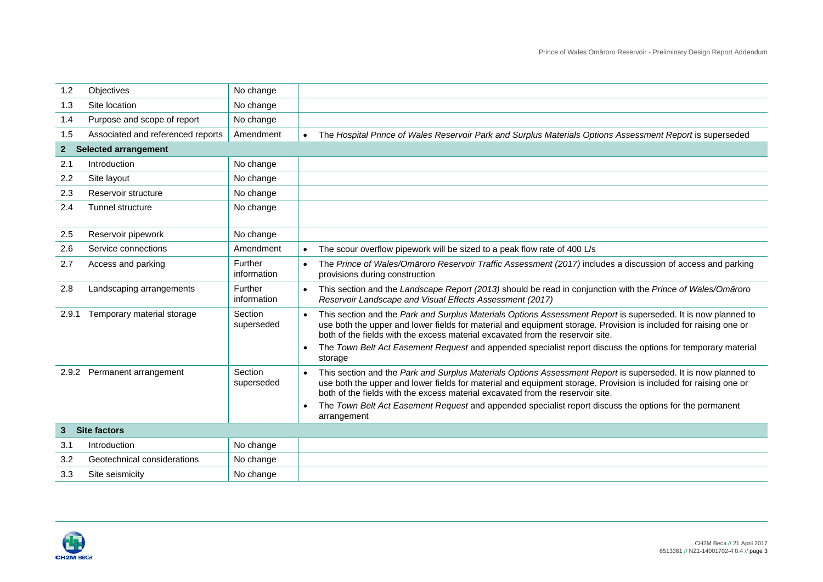| 1.2            | Objectives                        | No change              |                                                                                                                                                                                                                                                                                                                                                                                                                                                                                    |
|----------------|-----------------------------------|------------------------|------------------------------------------------------------------------------------------------------------------------------------------------------------------------------------------------------------------------------------------------------------------------------------------------------------------------------------------------------------------------------------------------------------------------------------------------------------------------------------|
| 1.3            | Site location                     | No change              |                                                                                                                                                                                                                                                                                                                                                                                                                                                                                    |
| 1.4            | Purpose and scope of report       | No change              |                                                                                                                                                                                                                                                                                                                                                                                                                                                                                    |
| 1.5            | Associated and referenced reports | Amendment              | The Hospital Prince of Wales Reservoir Park and Surplus Materials Options Assessment Report is superseded                                                                                                                                                                                                                                                                                                                                                                          |
| 2 <sup>1</sup> | <b>Selected arrangement</b>       |                        |                                                                                                                                                                                                                                                                                                                                                                                                                                                                                    |
| 2.1            | Introduction                      | No change              |                                                                                                                                                                                                                                                                                                                                                                                                                                                                                    |
| 2.2            | Site layout                       | No change              |                                                                                                                                                                                                                                                                                                                                                                                                                                                                                    |
| 2.3            | Reservoir structure               | No change              |                                                                                                                                                                                                                                                                                                                                                                                                                                                                                    |
| 2.4            | <b>Tunnel structure</b>           | No change              |                                                                                                                                                                                                                                                                                                                                                                                                                                                                                    |
| 2.5            | Reservoir pipework                | No change              |                                                                                                                                                                                                                                                                                                                                                                                                                                                                                    |
| 2.6            | Service connections               | Amendment              | The scour overflow pipework will be sized to a peak flow rate of 400 L/s<br>$\bullet$                                                                                                                                                                                                                                                                                                                                                                                              |
| 2.7            | Access and parking                | Further<br>information | The Prince of Wales/Omaroro Reservoir Traffic Assessment (2017) includes a discussion of access and parking<br>$\bullet$<br>provisions during construction                                                                                                                                                                                                                                                                                                                         |
| 2.8            | Landscaping arrangements          | Further<br>information | This section and the Landscape Report (2013) should be read in conjunction with the Prince of Wales/Omaroro<br>$\bullet$<br>Reservoir Landscape and Visual Effects Assessment (2017)                                                                                                                                                                                                                                                                                               |
| 2.9.1          | Temporary material storage        | Section<br>superseded  | This section and the Park and Surplus Materials Options Assessment Report is superseded. It is now planned to<br>use both the upper and lower fields for material and equipment storage. Provision is included for raising one or<br>both of the fields with the excess material excavated from the reservoir site.<br>The Town Belt Act Easement Request and appended specialist report discuss the options for temporary material<br>$\bullet$                                   |
|                | 2.9.2 Permanent arrangement       | Section<br>superseded  | storage<br>This section and the Park and Surplus Materials Options Assessment Report is superseded. It is now planned to<br>$\bullet$<br>use both the upper and lower fields for material and equipment storage. Provision is included for raising one or<br>both of the fields with the excess material excavated from the reservoir site.<br>The Town Belt Act Easement Request and appended specialist report discuss the options for the permanent<br>$\bullet$<br>arrangement |
| 3 <sup>1</sup> | <b>Site factors</b>               |                        |                                                                                                                                                                                                                                                                                                                                                                                                                                                                                    |
| 3.1            | Introduction                      | No change              |                                                                                                                                                                                                                                                                                                                                                                                                                                                                                    |
| 3.2            | Geotechnical considerations       | No change              |                                                                                                                                                                                                                                                                                                                                                                                                                                                                                    |
| 3.3            | Site seismicity                   | No change              |                                                                                                                                                                                                                                                                                                                                                                                                                                                                                    |

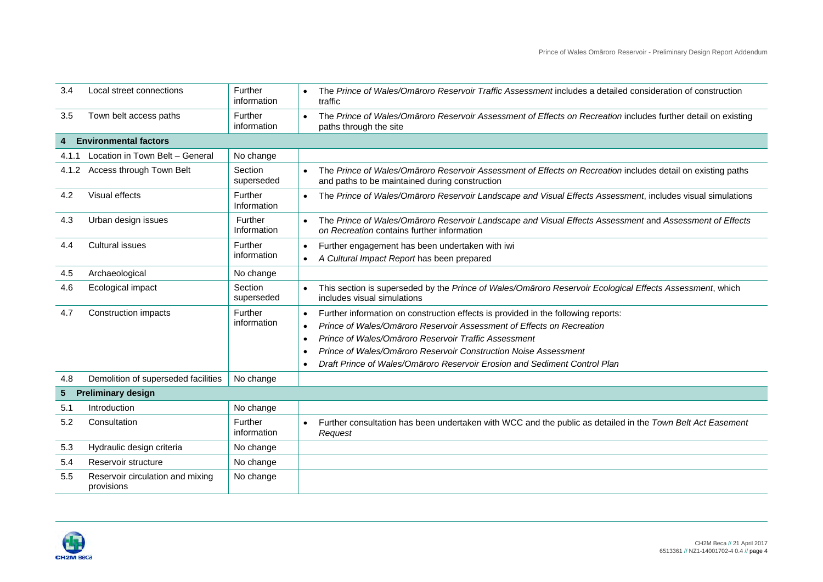| 3.4   | Local street connections                       | Further<br>information | The Prince of Wales/Omaroro Reservoir Traffic Assessment includes a detailed consideration of construction<br>traffic                                         |
|-------|------------------------------------------------|------------------------|---------------------------------------------------------------------------------------------------------------------------------------------------------------|
| 3.5   | Town belt access paths                         | Further<br>information | The Prince of Wales/Omaroro Reservoir Assessment of Effects on Recreation includes further detail on existing<br>paths through the site                       |
|       | <b>Environmental factors</b>                   |                        |                                                                                                                                                               |
| 4.1.1 | Location in Town Belt - General                | No change              |                                                                                                                                                               |
| 4.1.2 | Access through Town Belt                       | Section<br>superseded  | The Prince of Wales/Omaroro Reservoir Assessment of Effects on Recreation includes detail on existing paths<br>and paths to be maintained during construction |
| 4.2   | Visual effects                                 | Further<br>Information | The Prince of Wales/Omaroro Reservoir Landscape and Visual Effects Assessment, includes visual simulations<br>$\bullet$                                       |
| 4.3   | Urban design issues                            | Further<br>Information | The Prince of Wales/Omaroro Reservoir Landscape and Visual Effects Assessment and Assessment of Effects<br>on Recreation contains further information         |
| 4.4   | Cultural issues                                | Further<br>information | Further engagement has been undertaken with iwi<br>$\bullet$<br>A Cultural Impact Report has been prepared<br>$\bullet$                                       |
| 4.5   | Archaeological                                 | No change              |                                                                                                                                                               |
| 4.6   | Ecological impact                              | Section<br>superseded  | This section is superseded by the Prince of Wales/Omaroro Reservoir Ecological Effects Assessment, which<br>$\bullet$<br>includes visual simulations          |
| 4.7   | Construction impacts                           | Further                | Further information on construction effects is provided in the following reports:<br>$\bullet$                                                                |
|       |                                                | information            | Prince of Wales/Omaroro Reservoir Assessment of Effects on Recreation<br>$\bullet$                                                                            |
|       |                                                |                        | Prince of Wales/Omaroro Reservoir Traffic Assessment<br>$\bullet$                                                                                             |
|       |                                                |                        | Prince of Wales/Omaroro Reservoir Construction Noise Assessment                                                                                               |
|       |                                                |                        | Draft Prince of Wales/Omāroro Reservoir Erosion and Sediment Control Plan<br>$\bullet$                                                                        |
| 4.8   | Demolition of superseded facilities            | No change              |                                                                                                                                                               |
| 5     | <b>Preliminary design</b>                      |                        |                                                                                                                                                               |
| 5.1   | Introduction                                   | No change              |                                                                                                                                                               |
| 5.2   | Consultation                                   | Further<br>information | Further consultation has been undertaken with WCC and the public as detailed in the Town Belt Act Easement<br>$\bullet$<br>Request                            |
| 5.3   | Hydraulic design criteria                      | No change              |                                                                                                                                                               |
| 5.4   | Reservoir structure                            | No change              |                                                                                                                                                               |
| 5.5   | Reservoir circulation and mixing<br>provisions | No change              |                                                                                                                                                               |
|       |                                                |                        |                                                                                                                                                               |

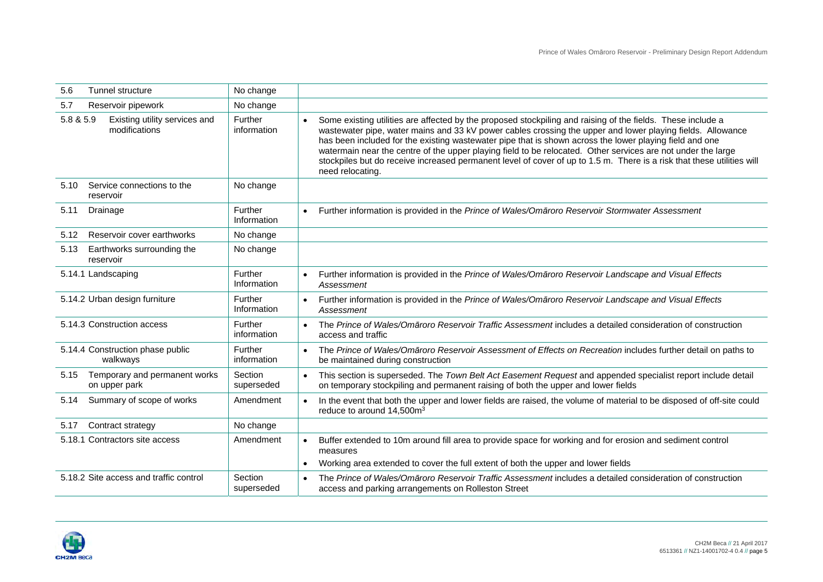| 5.6                | <b>Tunnel structure</b>                        | No change              |           |                                                                                                                                                                                                                                                                                                                                                                                                                                                                                                                                                                                                    |
|--------------------|------------------------------------------------|------------------------|-----------|----------------------------------------------------------------------------------------------------------------------------------------------------------------------------------------------------------------------------------------------------------------------------------------------------------------------------------------------------------------------------------------------------------------------------------------------------------------------------------------------------------------------------------------------------------------------------------------------------|
| 5.7                | Reservoir pipework                             | No change              |           |                                                                                                                                                                                                                                                                                                                                                                                                                                                                                                                                                                                                    |
| 5.8 & 5.9          | Existing utility services and<br>modifications | Further<br>information |           | Some existing utilities are affected by the proposed stockpiling and raising of the fields. These include a<br>wastewater pipe, water mains and 33 kV power cables crossing the upper and lower playing fields. Allowance<br>has been included for the existing wastewater pipe that is shown across the lower playing field and one<br>watermain near the centre of the upper playing field to be relocated. Other services are not under the large<br>stockpiles but do receive increased permanent level of cover of up to 1.5 m. There is a risk that these utilities will<br>need relocating. |
| 5.10<br>reservoir  | Service connections to the                     | No change              |           |                                                                                                                                                                                                                                                                                                                                                                                                                                                                                                                                                                                                    |
| 5.11<br>Drainage   |                                                | Further<br>Information |           | Further information is provided in the Prince of Wales/Omaroro Reservoir Stormwater Assessment                                                                                                                                                                                                                                                                                                                                                                                                                                                                                                     |
| 5.12               | Reservoir cover earthworks                     | No change              |           |                                                                                                                                                                                                                                                                                                                                                                                                                                                                                                                                                                                                    |
| 5.13<br>reservoir  | Earthworks surrounding the                     | No change              |           |                                                                                                                                                                                                                                                                                                                                                                                                                                                                                                                                                                                                    |
| 5.14.1 Landscaping |                                                | Further<br>Information |           | Further information is provided in the Prince of Wales/Omaroro Reservoir Landscape and Visual Effects<br>Assessment                                                                                                                                                                                                                                                                                                                                                                                                                                                                                |
|                    | 5.14.2 Urban design furniture                  | Further<br>Information | $\bullet$ | Further information is provided in the Prince of Wales/Omaroro Reservoir Landscape and Visual Effects<br>Assessment                                                                                                                                                                                                                                                                                                                                                                                                                                                                                |
|                    | 5.14.3 Construction access                     | Further<br>information | $\bullet$ | The Prince of Wales/Omaroro Reservoir Traffic Assessment includes a detailed consideration of construction<br>access and traffic                                                                                                                                                                                                                                                                                                                                                                                                                                                                   |
|                    | 5.14.4 Construction phase public<br>walkways   | Further<br>information | $\bullet$ | The Prince of Wales/Omaroro Reservoir Assessment of Effects on Recreation includes further detail on paths to<br>be maintained during construction                                                                                                                                                                                                                                                                                                                                                                                                                                                 |
| 5.15               | Temporary and permanent works<br>on upper park | Section<br>superseded  | $\bullet$ | This section is superseded. The Town Belt Act Easement Request and appended specialist report include detail<br>on temporary stockpiling and permanent raising of both the upper and lower fields                                                                                                                                                                                                                                                                                                                                                                                                  |
| 5.14               | Summary of scope of works                      | Amendment              | $\bullet$ | In the event that both the upper and lower fields are raised, the volume of material to be disposed of off-site could<br>reduce to around 14,500m <sup>3</sup>                                                                                                                                                                                                                                                                                                                                                                                                                                     |
| 5.17               | Contract strategy                              | No change              |           |                                                                                                                                                                                                                                                                                                                                                                                                                                                                                                                                                                                                    |
|                    | 5.18.1 Contractors site access                 | Amendment              | $\bullet$ | Buffer extended to 10m around fill area to provide space for working and for erosion and sediment control<br>measures<br>Working area extended to cover the full extent of both the upper and lower fields                                                                                                                                                                                                                                                                                                                                                                                         |
|                    | 5.18.2 Site access and traffic control         | Section<br>superseded  | $\bullet$ | The Prince of Wales/Omaroro Reservoir Traffic Assessment includes a detailed consideration of construction<br>access and parking arrangements on Rolleston Street                                                                                                                                                                                                                                                                                                                                                                                                                                  |

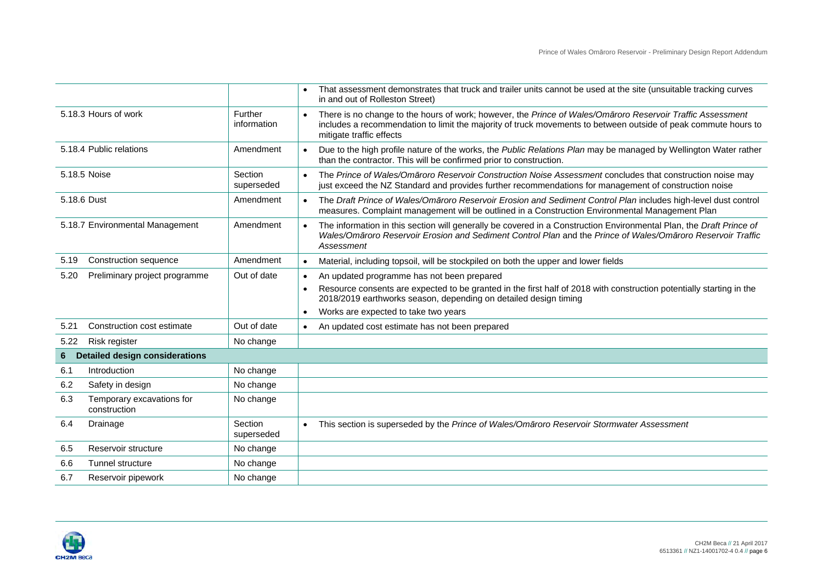|             |                                           |                        | That assessment demonstrates that truck and trailer units cannot be used at the site (unsuitable tracking curves<br>in and out of Rolleston Street)                                                                                                                   |
|-------------|-------------------------------------------|------------------------|-----------------------------------------------------------------------------------------------------------------------------------------------------------------------------------------------------------------------------------------------------------------------|
|             | 5.18.3 Hours of work                      | Further<br>information | There is no change to the hours of work; however, the Prince of Wales/Omaroro Reservoir Traffic Assessment<br>$\bullet$<br>includes a recommendation to limit the majority of truck movements to between outside of peak commute hours to<br>mitigate traffic effects |
|             | 5.18.4 Public relations                   | Amendment              | Due to the high profile nature of the works, the Public Relations Plan may be managed by Wellington Water rather<br>than the contractor. This will be confirmed prior to construction.                                                                                |
|             | 5.18.5 Noise                              | Section<br>superseded  | The Prince of Wales/Omaroro Reservoir Construction Noise Assessment concludes that construction noise may<br>just exceed the NZ Standard and provides further recommendations for management of construction noise                                                    |
| 5.18.6 Dust |                                           | Amendment              | The Draft Prince of Wales/Omaroro Reservoir Erosion and Sediment Control Plan includes high-level dust control<br>$\bullet$<br>measures. Complaint management will be outlined in a Construction Environmental Management Plan                                        |
|             | 5.18.7 Environmental Management           | Amendment              | The information in this section will generally be covered in a Construction Environmental Plan, the Draft Prince of<br>Wales/Omāroro Reservoir Erosion and Sediment Control Plan and the Prince of Wales/Omāroro Reservoir Traffic<br>Assessment                      |
| 5.19        | Construction sequence                     | Amendment              | Material, including topsoil, will be stockpiled on both the upper and lower fields<br>$\bullet$                                                                                                                                                                       |
| 5.20        | Preliminary project programme             | Out of date            | An updated programme has not been prepared<br>$\bullet$                                                                                                                                                                                                               |
|             |                                           |                        | Resource consents are expected to be granted in the first half of 2018 with construction potentially starting in the<br>$\bullet$<br>2018/2019 earthworks season, depending on detailed design timing                                                                 |
|             |                                           |                        | Works are expected to take two years<br>$\bullet$                                                                                                                                                                                                                     |
| 5.21        | Construction cost estimate                | Out of date            | An updated cost estimate has not been prepared<br>$\bullet$                                                                                                                                                                                                           |
| 5.22        | Risk register                             | No change              |                                                                                                                                                                                                                                                                       |
| 6           | <b>Detailed design considerations</b>     |                        |                                                                                                                                                                                                                                                                       |
| 6.1         | Introduction                              | No change              |                                                                                                                                                                                                                                                                       |
| 6.2         | Safety in design                          | No change              |                                                                                                                                                                                                                                                                       |
| 6.3         | Temporary excavations for<br>construction | No change              |                                                                                                                                                                                                                                                                       |
| 6.4         | Drainage                                  | Section<br>superseded  | This section is superseded by the Prince of Wales/Omaroro Reservoir Stormwater Assessment<br>$\bullet$                                                                                                                                                                |
| 6.5         | Reservoir structure                       | No change              |                                                                                                                                                                                                                                                                       |
| 6.6         | Tunnel structure                          | No change              |                                                                                                                                                                                                                                                                       |
| 6.7         | Reservoir pipework                        | No change              |                                                                                                                                                                                                                                                                       |